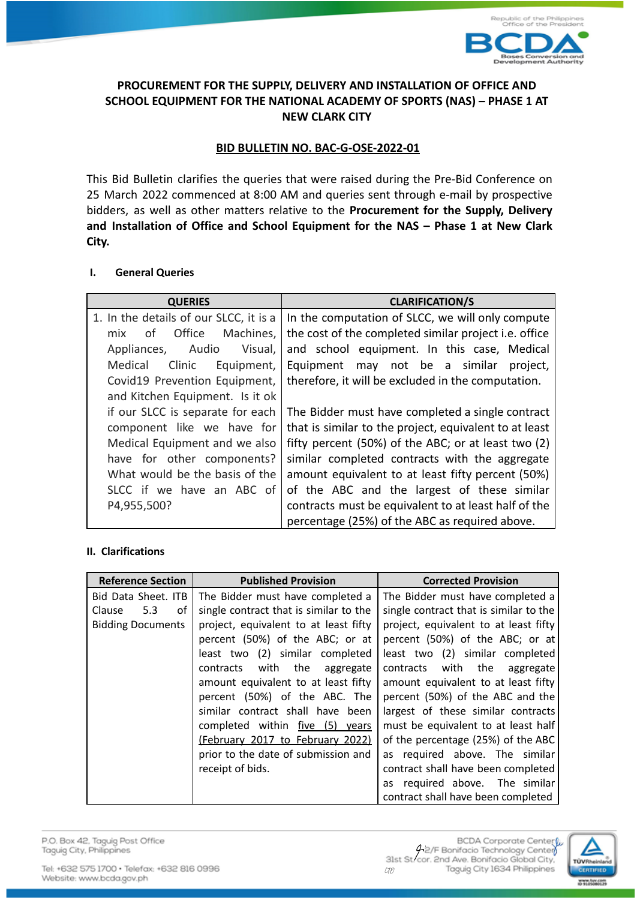

# **PROCUREMENT FOR THE SUPPLY, DELIVERY AND INSTALLATION OF OFFICE AND SCHOOL EQUIPMENT FOR THE NATIONAL ACADEMY OF SPORTS (NAS) – PHASE 1 AT NEW CLARK CITY**

# **BID BULLETIN NO. BAC-G-OSE-2022-01**

This Bid Bulletin clarifies the queries that were raised during the Pre-Bid Conference on 25 March 2022 commenced at 8:00 AM and queries sent through e-mail by prospective bidders, as well as other matters relative to the **Procurement for the Supply, Delivery and Installation of Office and School Equipment for the NAS – Phase 1 at New Clark City.**

### **I. General Queries**

| <b>QUERIES</b>                         | <b>CLARIFICATION/S</b>                                 |  |
|----------------------------------------|--------------------------------------------------------|--|
| 1. In the details of our SLCC, it is a | In the computation of SLCC, we will only compute       |  |
| Office<br>Machines,<br>mix<br>of       | the cost of the completed similar project i.e. office  |  |
| Visual,<br>Audio<br>Appliances,        | and school equipment. In this case, Medical            |  |
| Medical<br>Clinic<br>Equipment,        | Equipment may not be a similar<br>project,             |  |
| Covid19 Prevention Equipment,          | therefore, it will be excluded in the computation.     |  |
| and Kitchen Equipment. Is it ok        |                                                        |  |
| if our SLCC is separate for each       | The Bidder must have completed a single contract       |  |
| component like we have for             | that is similar to the project, equivalent to at least |  |
| Medical Equipment and we also          | fifty percent (50%) of the ABC; or at least two (2)    |  |
| have for other components?             | similar completed contracts with the aggregate         |  |
| What would be the basis of the         | amount equivalent to at least fifty percent (50%)      |  |
| SLCC if we have an ABC of              | of the ABC and the largest of these similar            |  |
| P4,955,500?                            | contracts must be equivalent to at least half of the   |  |
|                                        | percentage (25%) of the ABC as required above.         |  |

### **II. Clarifications**

| <b>Reference Section</b> | <b>Published Provision</b>             | <b>Corrected Provision</b>             |
|--------------------------|----------------------------------------|----------------------------------------|
| Bid Data Sheet. ITB      | The Bidder must have completed a       | The Bidder must have completed a       |
| 5.3<br>Clause<br>οf      | single contract that is similar to the | single contract that is similar to the |
| <b>Bidding Documents</b> | project, equivalent to at least fifty  | project, equivalent to at least fifty  |
|                          | percent (50%) of the ABC; or at        | percent (50%) of the ABC; or at        |
|                          | least two (2) similar completed        | least two (2) similar completed        |
|                          | contracts with the aggregate           | contracts with the aggregate           |
|                          | amount equivalent to at least fifty    | amount equivalent to at least fifty    |
|                          | percent (50%) of the ABC. The          | percent (50%) of the ABC and the       |
|                          | similar contract shall have been       | largest of these similar contracts     |
|                          | completed within five (5) years        | must be equivalent to at least half    |
|                          | (February 2017 to February 2022)       | of the percentage (25%) of the ABC     |
|                          | prior to the date of submission and    | as required above. The similar         |
|                          | receipt of bids.                       | contract shall have been completed     |
|                          |                                        | as required above. The similar         |
|                          |                                        | contract shall have been completed     |

P.O. Box 42, Taguig Post Office Taguig City, Philippines